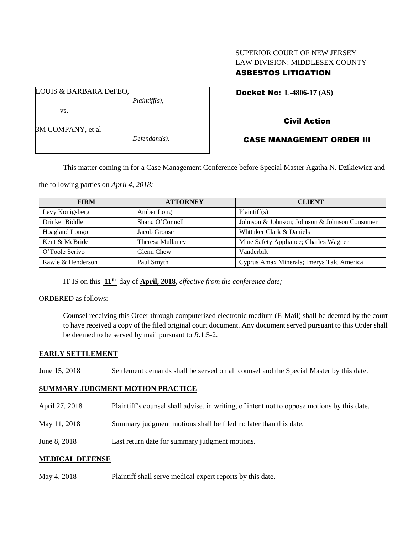# SUPERIOR COURT OF NEW JERSEY LAW DIVISION: MIDDLESEX COUNTY ASBESTOS LITIGATION

Docket No: **L-4806-17 (AS)** 

vs.

3M COMPANY, et al

LOUIS & BARBARA DeFEO,

*Defendant(s).*

*Plaintiff(s),*

# Civil Action

## CASE MANAGEMENT ORDER III

This matter coming in for a Case Management Conference before Special Master Agatha N. Dzikiewicz and

the following parties on *April 4, 2018:*

| <b>FIRM</b>           | <b>ATTORNEY</b>  | <b>CLIENT</b>                                 |
|-----------------------|------------------|-----------------------------------------------|
| Levy Konigsberg       | Amber Long       | Plaintiff(s)                                  |
| Drinker Biddle        | Shane O'Connell  | Johnson & Johnson; Johnson & Johnson Consumer |
| <b>Hoagland Longo</b> | Jacob Grouse     | Whttaker Clark & Daniels                      |
| Kent & McBride        | Theresa Mullaney | Mine Safety Appliance; Charles Wagner         |
| O'Toole Scrivo        | Glenn Chew       | Vanderbilt                                    |
| Rawle & Henderson     | Paul Smyth       | Cyprus Amax Minerals; Imerys Talc America     |

IT IS on this **11 th** day of **April, 2018**, *effective from the conference date;*

ORDERED as follows:

Counsel receiving this Order through computerized electronic medium (E-Mail) shall be deemed by the court to have received a copy of the filed original court document. Any document served pursuant to this Order shall be deemed to be served by mail pursuant to *R*.1:5-2.

## **EARLY SETTLEMENT**

June 15, 2018 Settlement demands shall be served on all counsel and the Special Master by this date.

## **SUMMARY JUDGMENT MOTION PRACTICE**

- April 27, 2018 Plaintiff's counsel shall advise, in writing, of intent not to oppose motions by this date.
- May 11, 2018 Summary judgment motions shall be filed no later than this date.
- June 8, 2018 Last return date for summary judgment motions.

## **MEDICAL DEFENSE**

May 4, 2018 Plaintiff shall serve medical expert reports by this date.